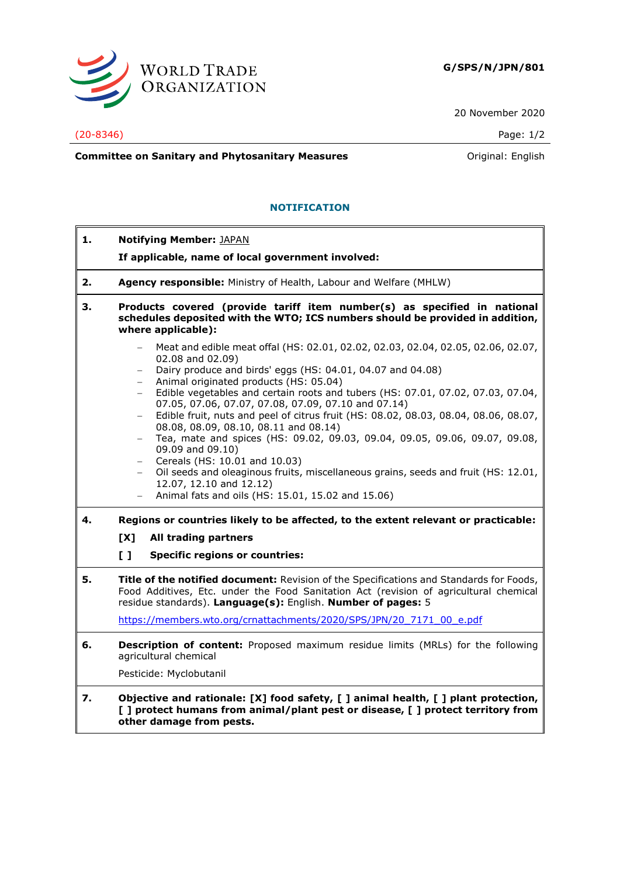

20 November 2020

## (20-8346) Page: 1/2

**Committee on Sanitary and Phytosanitary Measures Committee on Sanitary and Phytosanitary Measures Committee on Sanitary and Phytosanitary Measures** 

## **NOTIFICATION**

| 1. | <b>Notifying Member: JAPAN</b>                                                                                                                                                                                                                                                                                                                                                                                                                                                                                                                                                                                                                                                                                                                                                                                     |
|----|--------------------------------------------------------------------------------------------------------------------------------------------------------------------------------------------------------------------------------------------------------------------------------------------------------------------------------------------------------------------------------------------------------------------------------------------------------------------------------------------------------------------------------------------------------------------------------------------------------------------------------------------------------------------------------------------------------------------------------------------------------------------------------------------------------------------|
|    | If applicable, name of local government involved:                                                                                                                                                                                                                                                                                                                                                                                                                                                                                                                                                                                                                                                                                                                                                                  |
| 2. | Agency responsible: Ministry of Health, Labour and Welfare (MHLW)                                                                                                                                                                                                                                                                                                                                                                                                                                                                                                                                                                                                                                                                                                                                                  |
| 3. | Products covered (provide tariff item number(s) as specified in national<br>schedules deposited with the WTO; ICS numbers should be provided in addition,<br>where applicable):                                                                                                                                                                                                                                                                                                                                                                                                                                                                                                                                                                                                                                    |
|    | Meat and edible meat offal (HS: 02.01, 02.02, 02.03, 02.04, 02.05, 02.06, 02.07,<br>$-$<br>02.08 and 02.09)<br>Dairy produce and birds' eggs (HS: 04.01, 04.07 and 04.08)<br>$-$<br>Animal originated products (HS: 05.04)<br>Edible vegetables and certain roots and tubers (HS: 07.01, 07.02, 07.03, 07.04,<br>$ \,$<br>07.05, 07.06, 07.07, 07.08, 07.09, 07.10 and 07.14)<br>Edible fruit, nuts and peel of citrus fruit (HS: 08.02, 08.03, 08.04, 08.06, 08.07,<br>$-$<br>08.08, 08.09, 08.10, 08.11 and 08.14)<br>Tea, mate and spices (HS: 09.02, 09.03, 09.04, 09.05, 09.06, 09.07, 09.08,<br>$-$<br>09.09 and 09.10)<br>Cereals (HS: 10.01 and 10.03)<br>$\overline{\phantom{0}}$<br>Oil seeds and oleaginous fruits, miscellaneous grains, seeds and fruit (HS: 12.01,<br>$-$<br>12.07, 12.10 and 12.12) |
|    | Animal fats and oils (HS: 15.01, 15.02 and 15.06)                                                                                                                                                                                                                                                                                                                                                                                                                                                                                                                                                                                                                                                                                                                                                                  |
| 4. | Regions or countries likely to be affected, to the extent relevant or practicable:<br>[X]<br>All trading partners                                                                                                                                                                                                                                                                                                                                                                                                                                                                                                                                                                                                                                                                                                  |
|    | $\mathbf{L}$<br><b>Specific regions or countries:</b>                                                                                                                                                                                                                                                                                                                                                                                                                                                                                                                                                                                                                                                                                                                                                              |
| 5. | Title of the notified document: Revision of the Specifications and Standards for Foods,<br>Food Additives, Etc. under the Food Sanitation Act (revision of agricultural chemical<br>residue standards). Language(s): English. Number of pages: 5                                                                                                                                                                                                                                                                                                                                                                                                                                                                                                                                                                   |
|    | https://members.wto.org/crnattachments/2020/SPS/JPN/20 7171 00 e.pdf                                                                                                                                                                                                                                                                                                                                                                                                                                                                                                                                                                                                                                                                                                                                               |
| 6. | <b>Description of content:</b> Proposed maximum residue limits (MRLs) for the following<br>agricultural chemical                                                                                                                                                                                                                                                                                                                                                                                                                                                                                                                                                                                                                                                                                                   |
|    | Pesticide: Myclobutanil                                                                                                                                                                                                                                                                                                                                                                                                                                                                                                                                                                                                                                                                                                                                                                                            |
| 7. | Objective and rationale: [X] food safety, [ ] animal health, [ ] plant protection,<br>[ ] protect humans from animal/plant pest or disease, [ ] protect territory from<br>other damage from pests.                                                                                                                                                                                                                                                                                                                                                                                                                                                                                                                                                                                                                 |